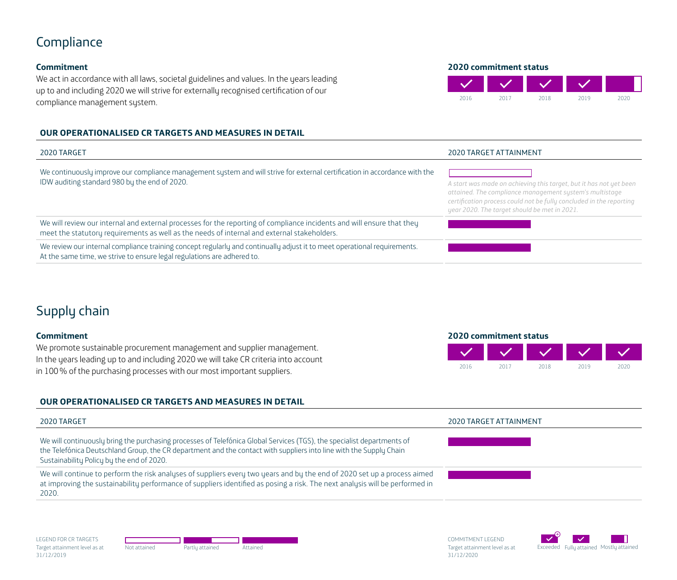## Compliance

### **Commitment**

We act in accordance with all laws, societal guidelines and values. In the years leading up to and including 2020 we will strive for externally recognised certification of our compliance management system.

### **OUR OPERATIONALISED CR TARGETS AND MEASURES IN DETAIL**

| 2020 TARGET                                                                                                                                                                                                           | 2020 TARGET ATTAINMENT                                                                                                                                                                                                                               |
|-----------------------------------------------------------------------------------------------------------------------------------------------------------------------------------------------------------------------|------------------------------------------------------------------------------------------------------------------------------------------------------------------------------------------------------------------------------------------------------|
| We continuously improve our compliance management system and will strive for external certification in accordance with the<br>IDW auditing standard 980 by the end of 2020.                                           | A start was made on achieving this target, but it has not yet been<br>attained. The compliance management system's multistage<br>certification process could not be fully concluded in the reporting<br>year 2020. The target should be met in 2021. |
| We will review our internal and external processes for the reporting of compliance incidents and will ensure that they<br>meet the statutory requirements as well as the needs of internal and external stakeholders. |                                                                                                                                                                                                                                                      |
| We review our internal compliance training concept regularly and continually adjust it to meet operational requirements.<br>At the same time, we strive to ensure legal regulations are adhered to.                   |                                                                                                                                                                                                                                                      |

# Supply chain

### **Commitment**

We promote sustainable procurement management and supplier management. In the years leading up to and including 2020 we will take CR criteria into account in 100% of the purchasing processes with our most important suppliers.

### **OUR OPERATIONALISED CR TARGETS AND MEASURES IN DETAIL**

| 2020 TARGET                                                                                                                                                                                                                                                                               | 2020 TARGET ATTAINMENT |
|-------------------------------------------------------------------------------------------------------------------------------------------------------------------------------------------------------------------------------------------------------------------------------------------|------------------------|
| We will continuously bring the purchasing processes of Telefónica Global Services (TGS), the specialist departments of<br>the Telefónica Deutschland Group, the CR department and the contact with suppliers into line with the Supply Chain<br>Sustainability Policy by the end of 2020. |                        |
| We will continue to perform the risk analyses of suppliers every two years and by the end of 2020 set up a process aimed<br>at improving the sustainability performance of suppliers identified as posing a risk. The next analysis will be performed in<br>2020.                         |                        |

**2020 commitment status**



LEGEND FOR CR TARGETS Target attainment level as at 31/12/2019



COMMITMENT LEGEND Target attainment level as at 31/12/2020



**2020 commitment status**

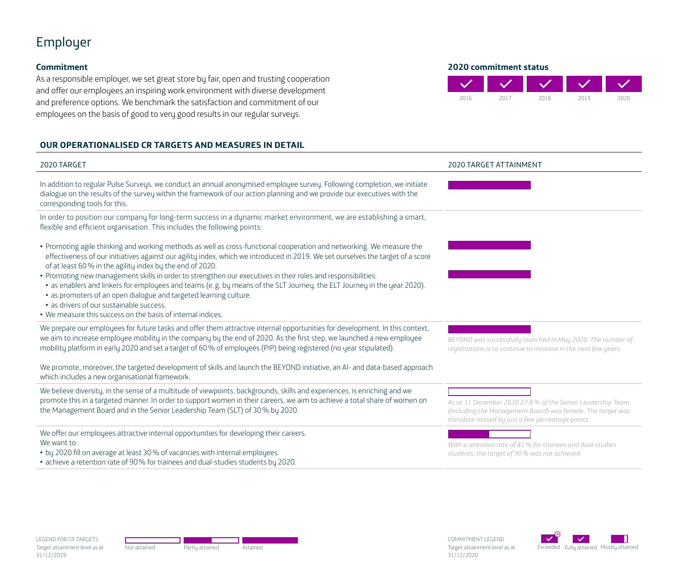# Employer

### **Commitment**

As a responsible employer, we set great store by fair, open and trusting cooperation and offer our employees an inspiring work environment with diverse development and preference options. We benchmark the satisfaction and commitment of our employees on the basis of good to very good results in our regular surveys.

### **OUR OPERATIONALISED CR TARGETS AND MEASURES IN DETAIL**



- by 2020 fill on average at least 30% of vacancies with internal employees.
- achieve a retention rate of 90% for trainees and dual-studies students by 2020.

*With a retention rate of 81% for trainees and dual-studies students, the target of 90% was not achieved.*

LEGEND FOR CR TARGETS Target attainment level as at 31/12/2019



COMMITMENT LEGEND Target attainment level as at 31/12/2020

**2020 commitment status**

2016 2017 2018 2019 2020

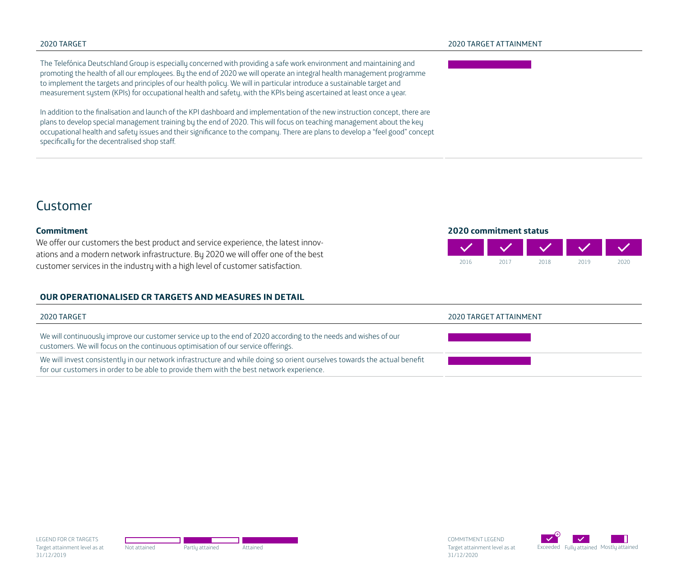The Telefónica Deutschland Group is especially concerned with providing a safe work environment and maintaining and promoting the health of all our employees. By the end of 2020 we will operate an integral health management programme to implement the targets and principles of our health policy. We will in particular introduce a sustainable target and measurement sustem (KPIs) for occupational health and safety, with the KPIs being ascertained at least once a year.

In addition to the finalisation and launch of the KPI dashboard and implementation of the new instruction concept, there are plans to develop special management training by the end of 2020. This will focus on teaching management about the key occupational health and safety issues and their significance to the company. There are plans to develop a "feel good" concept specifically for the decentralised shop staff.

**2020 commitment status**

2016 2017 2018 2019 2020

# Customer

### **Commitment**

We offer our customers the best product and service experience, the latest innovations and a modern network infrastructure. By 2020 we will offer one of the best customer services in the industry with a high level of customer satisfaction.

### **OUR OPERATIONALISED CR TARGETS AND MEASURES IN DETAIL**





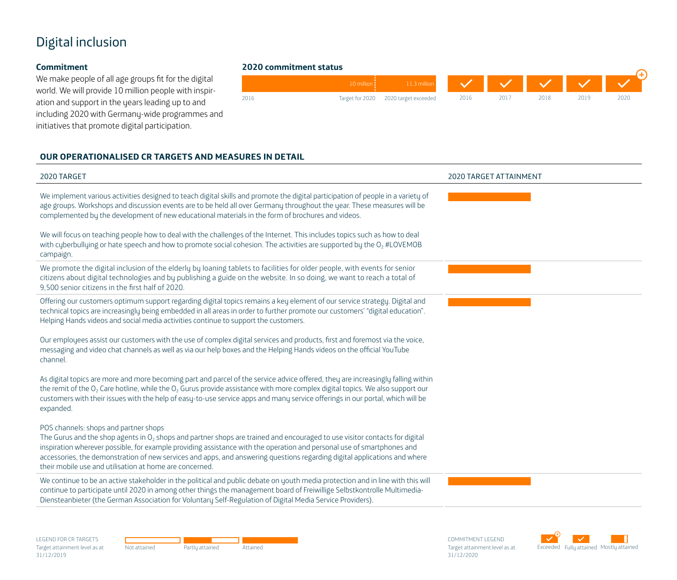# Digital inclusion

### **Commitment**

We make people of all age groups fit for the digital world. We will provide 10 million people with inspiration and support in the years leading up to and including 2020 with Germany-wide programmes and initiatives that promote digital participation.

## **2020 commitment status**



### **OUR OPERATIONALISED CR TARGETS AND MEASURES IN DETAIL**

| 2020 TARGET                                                                                                                                                                                                                                                                                                                                                                                                                                                                              | <b>2020 TARGET ATTAINMENT</b> |
|------------------------------------------------------------------------------------------------------------------------------------------------------------------------------------------------------------------------------------------------------------------------------------------------------------------------------------------------------------------------------------------------------------------------------------------------------------------------------------------|-------------------------------|
| We implement various activities designed to teach digital skills and promote the digital participation of people in a variety of<br>age groups. Workshops and discussion events are to be held all over Germany throughout the year. These measures will be<br>complemented by the development of new educational materials in the form of brochures and videos.                                                                                                                         |                               |
| We will focus on teaching people how to deal with the challenges of the Internet. This includes topics such as how to deal<br>with cyberbullying or hate speech and how to promote social cohesion. The activities are supported by the O <sub>2</sub> #LOVEMOB<br>campaign.                                                                                                                                                                                                             |                               |
| We promote the digital inclusion of the elderly by loaning tablets to facilities for older people, with events for senior<br>citizens about digital technologies and by publishing a guide on the website. In so doing, we want to reach a total of<br>9.500 senior citizens in the first half of 2020.                                                                                                                                                                                  |                               |
| Offering our customers optimum support regarding digital topics remains a key element of our service strategy. Digital and<br>technical topics are increasingly being embedded in all areas in order to further promote our customers' "digital education".<br>Helping Hands videos and social media activities continue to support the customers.                                                                                                                                       |                               |
| Our employees assist our customers with the use of complex digital services and products, first and foremost via the voice,<br>messaging and video chat channels as well as via our help boxes and the Helping Hands videos on the official YouTube<br>channel.                                                                                                                                                                                                                          |                               |
| As digital topics are more and more becoming part and parcel of the service advice offered, they are increasingly falling within<br>the remit of the $O_2$ Care hotline, while the $O_2$ Gurus provide assistance with more complex digital topics. We also support our<br>customers with their issues with the help of easy-to-use service apps and many service offerings in our portal, which will be<br>expanded.                                                                    |                               |
| POS channels: shops and partner shops<br>The Gurus and the shop agents in $O_2$ shops and partner shops are trained and encouraged to use visitor contacts for digital<br>inspiration wherever possible, for example providing assistance with the operation and personal use of smartphones and<br>accessories, the demonstration of new services and apps, and answering questions regarding digital applications and where<br>their mobile use and utilisation at home are concerned. |                               |
| We continue to be an active stakeholder in the political and public debate on youth media protection and in line with this will<br>continue to participate until 2020 in among other things the management board of Freiwillige Selbstkontrolle Multimedia-<br>Diensteanbieter (the German Association for Voluntary Self-Regulation of Digital Media Service Providers).                                                                                                                |                               |
|                                                                                                                                                                                                                                                                                                                                                                                                                                                                                          |                               |

LEGEND FOR CR TARGETS Target attainment level as at 31/12/2019



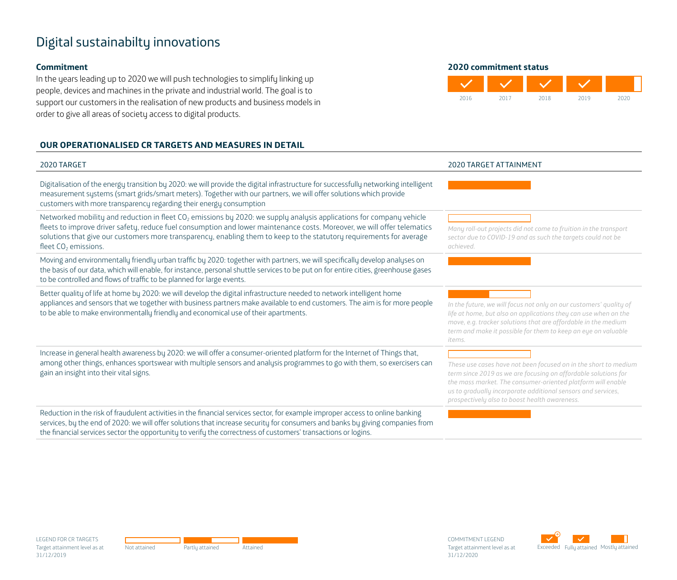# Digital sustainabilty innovations

#### **Commitment**

In the years leading up to 2020 we will push technologies to simplify linking up people, devices and machines in the private and industrial world. The goal is to support our customers in the realisation of new products and business models in order to give all areas of society access to digital products.

### **OUR OPERATIONALISED CR TARGETS AND MEASURES IN DETAIL**



| 2020 TARGET                                                                                                                                                                                                                                                                                                                                                                                                              | <b>2020 TARGET ATTAINMENT</b>                                                                                                                                                                                                                                                                                     |
|--------------------------------------------------------------------------------------------------------------------------------------------------------------------------------------------------------------------------------------------------------------------------------------------------------------------------------------------------------------------------------------------------------------------------|-------------------------------------------------------------------------------------------------------------------------------------------------------------------------------------------------------------------------------------------------------------------------------------------------------------------|
| Digitalisation of the energy transition by 2020: we will provide the digital infrastructure for successfully networking intelligent<br>measurement systems (smart grids/smart meters). Together with our partners, we will offer solutions which provide<br>customers with more transparency regarding their energy consumption                                                                                          |                                                                                                                                                                                                                                                                                                                   |
| Networked mobility and reduction in fleet CO <sub>2</sub> emissions by 2020: we supply analysis applications for company vehicle<br>fleets to improve driver safety, reduce fuel consumption and lower maintenance costs. Moreover, we will offer telematics<br>solutions that give our customers more transparency, enabling them to keep to the statutory requirements for average<br>fleet CO <sub>2</sub> emissions. | Many roll-out projects did not come to fruition in the transport<br>sector due to COVID-19 and as such the targets could not be<br>achieved.                                                                                                                                                                      |
| Moving and environmentally friendly urban traffic by 2020: together with partners, we will specifically develop analyses on<br>the basis of our data, which will enable, for instance, personal shuttle services to be put on for entire cities, greenhouse gases<br>to be controlled and flows of traffic to be planned for large events.                                                                               |                                                                                                                                                                                                                                                                                                                   |
| Better quality of life at home by 2020: we will develop the digital infrastructure needed to network intelligent home<br>appliances and sensors that we together with business partners make available to end customers. The aim is for more people<br>to be able to make environmentally friendly and economical use of their apartments.                                                                               | In the future, we will focus not only on our customers' quality of<br>life at home, but also on applications they can use when on the<br>move, e.g. tracker solutions that are affordable in the medium<br>term and make it possible for them to keep an eye on valuable<br>items.                                |
| Increase in general health awareness by 2020: we will offer a consumer-oriented platform for the Internet of Things that,<br>among other things, enhances sportswear with multiple sensors and analysis programmes to go with them, so exercisers can<br>gain an insight into their vital signs.                                                                                                                         | These use cases have not been focused on in the short to medium<br>term since 2019 as we are focusing on affordable solutions for<br>the mass market. The consumer-oriented platform will enable<br>us to gradually incorporate additional sensors and services,<br>prospectively also to boost health awareness. |
| Reduction in the risk of fraudulent activities in the financial services sector, for example improper access to online banking<br>services, by the end of 2020: we will offer solutions that increase security for consumers and banks by giving companies from<br>the financial services sector the opportunity to verify the correctness of customers' transactions or logins.                                         |                                                                                                                                                                                                                                                                                                                   |



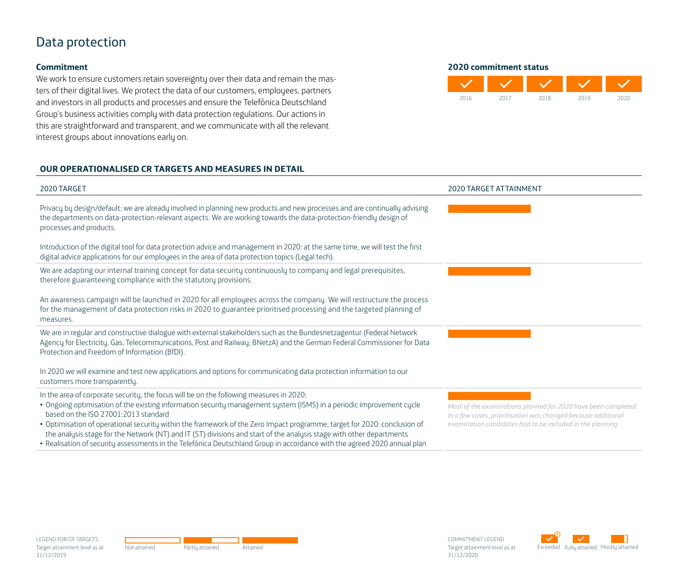## Data protection

### **Commitment**

We work to ensure customers retain sovereignty over their data and remain the masters of their digital lives. We protect the data of our customers, employees, partners and investors in all products and processes and ensure the Telefónica Deutschland Group's business activities comply with data protection regulations. Our actions in this are straightforward and transparent, and we communicate with all the relevant interest groups about innovations early on.

### **OUR OPERATIONALISED CR TARGETS AND MEASURES IN DETAIL**

#### **2020 commitment status**



| 2020 TARGET                                                                                                                                                                                                                                                                                                                                                                         | 2020 TARGET ATTAINMENT                                                                                                                                                                        |
|-------------------------------------------------------------------------------------------------------------------------------------------------------------------------------------------------------------------------------------------------------------------------------------------------------------------------------------------------------------------------------------|-----------------------------------------------------------------------------------------------------------------------------------------------------------------------------------------------|
| Privacy by design/default: we are already involved in planning new products and new processes and are continually advising<br>the departments on data-protection-relevant aspects. We are working towards the data-protection-friendly design of<br>processes and products.                                                                                                         |                                                                                                                                                                                               |
| Introduction of the digital tool for data protection advice and management in 2020; at the same time, we will test the first<br>digital advice applications for our employees in the area of data protection topics (Legal tech).                                                                                                                                                   |                                                                                                                                                                                               |
| We are adapting our internal training concept for data security continuously to company and legal prerequisites,<br>therefore guaranteeing compliance with the statutory provisions.                                                                                                                                                                                                |                                                                                                                                                                                               |
| An awareness campaign will be launched in 2020 for all employees across the company. We will restructure the process<br>for the management of data protection risks in 2020 to guarantee prioritised processing and the targeted planning of<br>measures.                                                                                                                           |                                                                                                                                                                                               |
| We are in regular and constructive dialogue with external stakeholders such as the Bundesnetzagentur (Federal Network<br>Agency for Electricity, Gas, Telecommunications, Post and Railway; BNetzA) and the German Federal Commissioner for Data<br>Protection and Freedom of Information (BfDI).                                                                                   |                                                                                                                                                                                               |
| In 2020 we will examine and test new applications and options for communicating data protection information to our<br>customers more transparently.                                                                                                                                                                                                                                 |                                                                                                                                                                                               |
| In the area of corporate security, the focus will be on the following measures in 2020:<br>. Ongoing optimisation of the existing information security management system (ISMS) in a periodic improvement cycle<br>based on the ISO 27001:2013 standard<br>. Optimisation of operational security within the framework of the Zero Impact programme, target for 2020: conclusion of | Most of the examinations planned for 2020 have been completed.<br>In a few cases, prioritisation was changed because additional<br>examination candidates had to be included in the planning. |
| the analysis stage for the Network (NT) and IT (ST) divisions and start of the analysis stage with other departments                                                                                                                                                                                                                                                                |                                                                                                                                                                                               |

• Realisation of security assessments in the Telefónica Deutschland Group in accordance with the agreed 2020 annual plan

LEGEND FOR CR TARGETS Target attainment level as at 31/12/2019